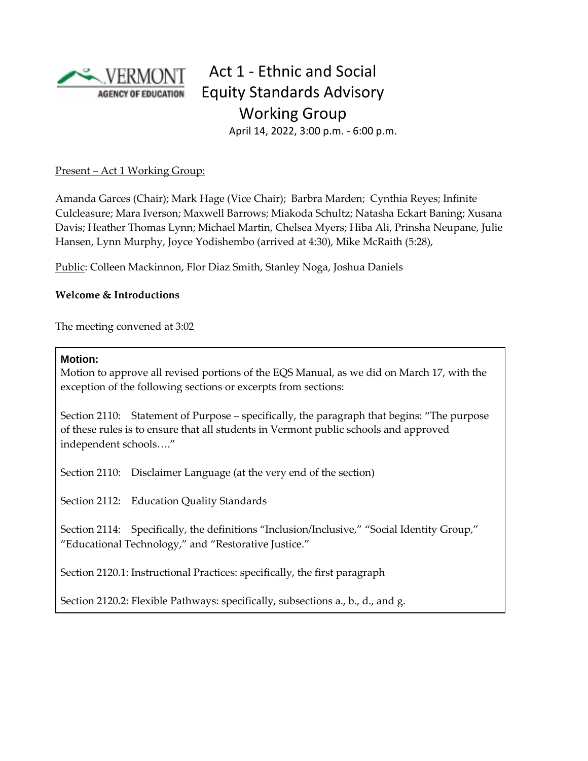

# Act 1 - Ethnic and Social Equity Standards Advisory Working Group April 14, 2022, 3:00 p.m. - 6:00 p.m.

Present – Act 1 Working Group:

Amanda Garces (Chair); Mark Hage (Vice Chair); Barbra Marden; Cynthia Reyes; Infinite Culcleasure; Mara Iverson; Maxwell Barrows; Miakoda Schultz; Natasha Eckart Baning; Xusana Davis; Heather Thomas Lynn; Michael Martin, Chelsea Myers; Hiba Ali, Prinsha Neupane, Julie Hansen, Lynn Murphy, Joyce Yodishembo (arrived at 4:30), Mike McRaith (5:28),

Public: Colleen Mackinnon, Flor Diaz Smith, Stanley Noga, Joshua Daniels

### **Welcome & Introductions**

The meeting convened at 3:02

### **Motion:**

Motion to approve all revised portions of the EQS Manual, as we did on March 17, with the exception of the following sections or excerpts from sections:

Section 2110: Statement of Purpose – specifically, the paragraph that begins: "The purpose of these rules is to ensure that all students in Vermont public schools and approved independent schools…."

Section 2110: Disclaimer Language (at the very end of the section)

Section 2112: Education Quality Standards

Section 2114: Specifically, the definitions "Inclusion/Inclusive," "Social Identity Group," "Educational Technology," and "Restorative Justice."

Section 2120.1: Instructional Practices: specifically, the first paragraph

Section 2120.2: Flexible Pathways: specifically, subsections a., b., d., and g.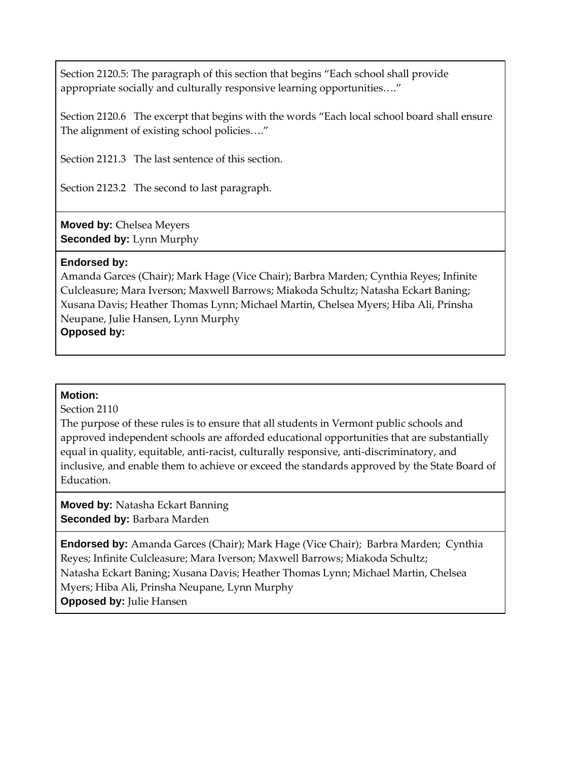Section 2120.5: The paragraph of this section that begins "Each school shall provide appropriate socially and culturally responsive learning opportunities…."

Section 2120.6 The excerpt that begins with the words "Each local school board shall ensure The alignment of existing school policies…."

Section 2121.3 The last sentence of this section.

Section 2123.2 The second to last paragraph.

**Moved by:** Chelsea Meyers **Seconded by:** Lynn Murphy

#### **Endorsed by:**

Amanda Garces (Chair); Mark Hage (Vice Chair); Barbra Marden; Cynthia Reyes; Infinite Culcleasure; Mara Iverson; Maxwell Barrows; Miakoda Schultz; Natasha Eckart Baning; Xusana Davis; Heather Thomas Lynn; Michael Martin, Chelsea Myers; Hiba Ali, Prinsha Neupane, Julie Hansen, Lynn Murphy **Opposed by:**

### **Motion:**

Section 2110

The purpose of these rules is to ensure that all students in Vermont public schools and approved independent schools are afforded educational opportunities that are substantially equal in quality, equitable, anti-racist, culturally responsive, anti-discriminatory, and inclusive, and enable them to achieve or exceed the standards approved by the State Board of **Education** 

**Moved by:** Natasha Eckart Banning **Seconded by:** Barbara Marden

**Endorsed by:** Amanda Garces (Chair); Mark Hage (Vice Chair); Barbra Marden; Cynthia Reyes; Infinite Culcleasure; Mara Iverson; Maxwell Barrows; Miakoda Schultz; Natasha Eckart Baning; Xusana Davis; Heather Thomas Lynn; Michael Martin, Chelsea Myers; Hiba Ali, Prinsha Neupane, Lynn Murphy **Opposed by: Julie Hansen**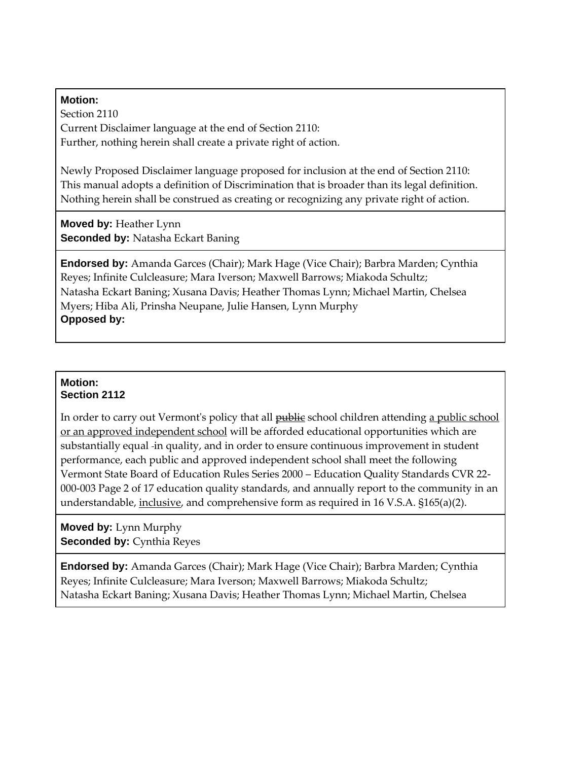#### **Motion:**

Section 2110 Current Disclaimer language at the end of Section 2110: Further, nothing herein shall create a private right of action.

Newly Proposed Disclaimer language proposed for inclusion at the end of Section 2110: This manual adopts a definition of Discrimination that is broader than its legal definition. Nothing herein shall be construed as creating or recognizing any private right of action.

**Moved by:** Heather Lynn **Seconded by:** Natasha Eckart Baning

**Endorsed by:** Amanda Garces (Chair); Mark Hage (Vice Chair); Barbra Marden; Cynthia Reyes; Infinite Culcleasure; Mara Iverson; Maxwell Barrows; Miakoda Schultz; Natasha Eckart Baning; Xusana Davis; Heather Thomas Lynn; Michael Martin, Chelsea Myers; Hiba Ali, Prinsha Neupane, Julie Hansen, Lynn Murphy **Opposed by:**

#### **Motion: Section 2112**

In order to carry out Vermont's policy that all **public** school children attending a public school or an approved independent school will be afforded educational opportunities which are substantially equal -in quality, and in order to ensure continuous improvement in student performance, each public and approved independent school shall meet the following Vermont State Board of Education Rules Series 2000 – Education Quality Standards CVR 22- 000-003 Page 2 of 17 education quality standards, and annually report to the community in an understandable, inclusive, and comprehensive form as required in 16 V.S.A. §165(a)(2).

**Moved by:** Lynn Murphy **Seconded by: Cynthia Reyes** 

**Endorsed by:** Amanda Garces (Chair); Mark Hage (Vice Chair); Barbra Marden; Cynthia Reyes; Infinite Culcleasure; Mara Iverson; Maxwell Barrows; Miakoda Schultz; Natasha Eckart Baning; Xusana Davis; Heather Thomas Lynn; Michael Martin, Chelsea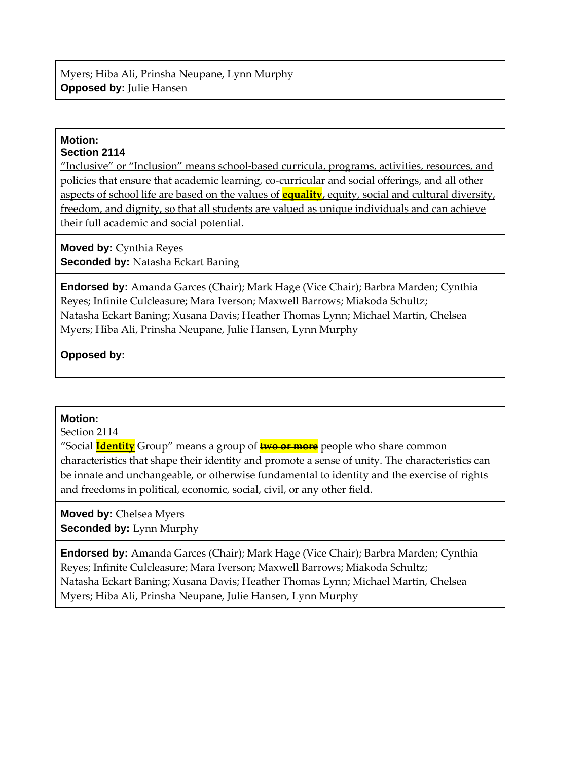#### **Motion: Section 2114**

"Inclusive" or "Inclusion" means school-based curricula, programs, activities, resources, and policies that ensure that academic learning, co-curricular and social offerings, and all other aspects of school life are based on the values of **equality,** equity, social and cultural diversity, freedom, and dignity, so that all students are valued as unique individuals and can achieve their full academic and social potential.

**Moved by:** Cynthia Reyes **Seconded by:** Natasha Eckart Baning

**Endorsed by:** Amanda Garces (Chair); Mark Hage (Vice Chair); Barbra Marden; Cynthia Reyes; Infinite Culcleasure; Mara Iverson; Maxwell Barrows; Miakoda Schultz; Natasha Eckart Baning; Xusana Davis; Heather Thomas Lynn; Michael Martin, Chelsea Myers; Hiba Ali, Prinsha Neupane, Julie Hansen, Lynn Murphy

# **Opposed by:**

### **Motion:**

Section 2114

"Social **Identity** Group" means a group of **two or more** people who share common characteristics that shape their identity and promote a sense of unity. The characteristics can be innate and unchangeable, or otherwise fundamental to identity and the exercise of rights and freedoms in political, economic, social, civil, or any other field.

**Moved by:** Chelsea Myers **Seconded by:** Lynn Murphy

**Endorsed by:** Amanda Garces (Chair); Mark Hage (Vice Chair); Barbra Marden; Cynthia Reyes; Infinite Culcleasure; Mara Iverson; Maxwell Barrows; Miakoda Schultz; Natasha Eckart Baning; Xusana Davis; Heather Thomas Lynn; Michael Martin, Chelsea Myers; Hiba Ali, Prinsha Neupane, Julie Hansen, Lynn Murphy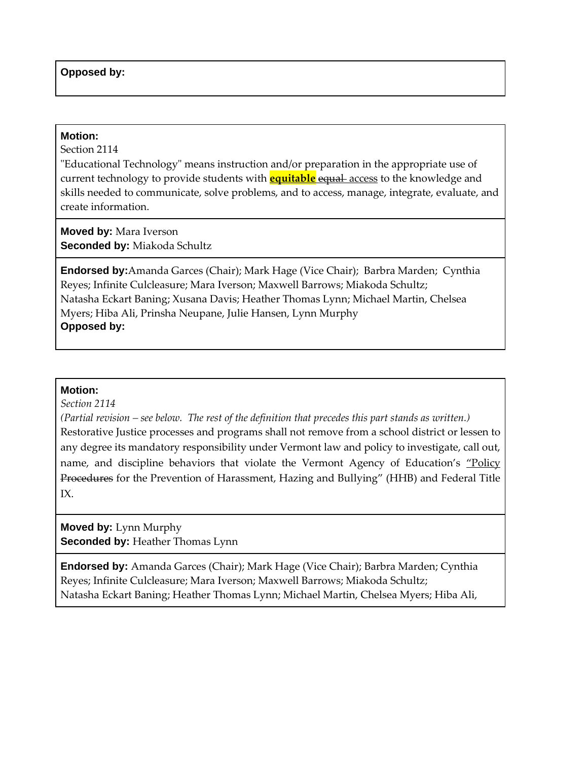#### **Opposed by:**

#### **Motion:**

Section 2114

"Educational Technology" means instruction and/or preparation in the appropriate use of current technology to provide students with **equitable** equal access to the knowledge and skills needed to communicate, solve problems, and to access, manage, integrate, evaluate, and create information.

**Moved by:** Mara Iverson **Seconded by:** Miakoda Schultz

**Endorsed by:**Amanda Garces (Chair); Mark Hage (Vice Chair); Barbra Marden; Cynthia Reyes; Infinite Culcleasure; Mara Iverson; Maxwell Barrows; Miakoda Schultz; Natasha Eckart Baning; Xusana Davis; Heather Thomas Lynn; Michael Martin, Chelsea Myers; Hiba Ali, Prinsha Neupane, Julie Hansen, Lynn Murphy **Opposed by:**

#### **Motion:**

*Section 2114*

*(Partial revision – see below. The rest of the definition that precedes this part stands as written.)* Restorative Justice processes and programs shall not remove from a school district or lessen to any degree its mandatory responsibility under Vermont law and policy to investigate, call out, name, and discipline behaviors that violate the Vermont Agency of Education's "Policy" Procedures for the Prevention of Harassment, Hazing and Bullying" (HHB) and Federal Title IX.

**Moved by:** Lynn Murphy **Seconded by: Heather Thomas Lynn** 

**Endorsed by:** Amanda Garces (Chair); Mark Hage (Vice Chair); Barbra Marden; Cynthia Reyes; Infinite Culcleasure; Mara Iverson; Maxwell Barrows; Miakoda Schultz; Natasha Eckart Baning; Heather Thomas Lynn; Michael Martin, Chelsea Myers; Hiba Ali,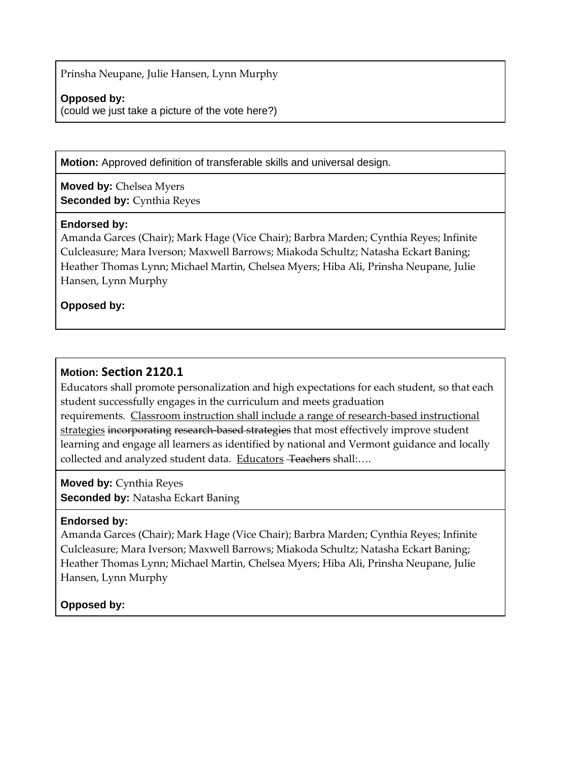Prinsha Neupane, Julie Hansen, Lynn Murphy

#### **Opposed by:**

(could we just take a picture of the vote here?)

**Motion:** Approved definition of transferable skills and universal design.

**Moved by:** Chelsea Myers **Seconded by:** Cynthia Reyes

#### **Endorsed by:**

Amanda Garces (Chair); Mark Hage (Vice Chair); Barbra Marden; Cynthia Reyes; Infinite Culcleasure; Mara Iverson; Maxwell Barrows; Miakoda Schultz; Natasha Eckart Baning; Heather Thomas Lynn; Michael Martin, Chelsea Myers; Hiba Ali, Prinsha Neupane, Julie Hansen, Lynn Murphy

**Opposed by:**

# **Motion: Section 2120.1**

Educators shall promote personalization and high expectations for each student, so that each student successfully engages in the curriculum and meets graduation requirements. Classroom instruction shall include a range of research-based instructional strategies incorporating research-based strategies that most effectively improve student learning and engage all learners as identified by national and Vermont guidance and locally collected and analyzed student data. Educators Teachers shall:....

**Moved by:** Cynthia Reyes **Seconded by:** Natasha Eckart Baning

### **Endorsed by:**

Amanda Garces (Chair); Mark Hage (Vice Chair); Barbra Marden; Cynthia Reyes; Infinite Culcleasure; Mara Iverson; Maxwell Barrows; Miakoda Schultz; Natasha Eckart Baning; Heather Thomas Lynn; Michael Martin, Chelsea Myers; Hiba Ali, Prinsha Neupane, Julie Hansen, Lynn Murphy

# **Opposed by:**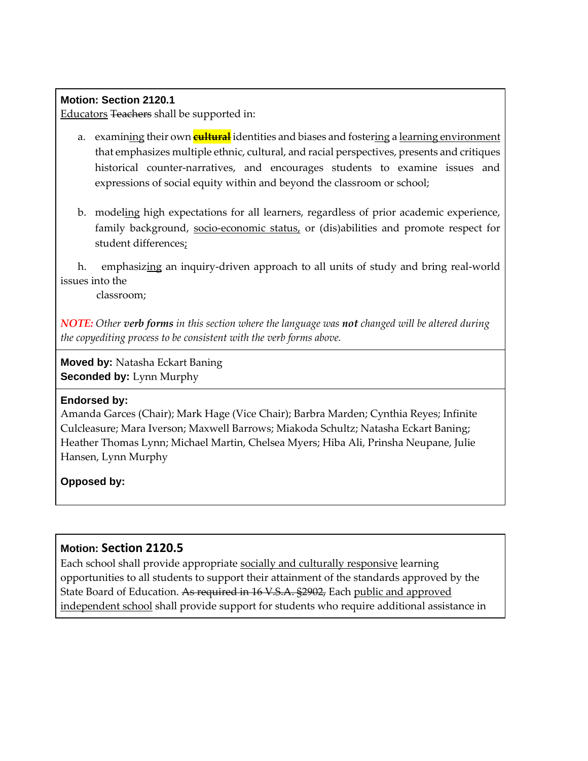#### **Motion: Section 2120.1**

Educators Teachers shall be supported in:

- a. examining their own **cultural** identities and biases and fostering a learning environment that emphasizes multiple ethnic, cultural, and racial perspectives, presents and critiques historical counter-narratives, and encourages students to examine issues and expressions of social equity within and beyond the classroom or school;
- b. modeling high expectations for all learners, regardless of prior academic experience, family background, socio-economic status, or (dis)abilities and promote respect for student differences;

h. emphasizing an inquiry-driven approach to all units of study and bring real-world issues into the

classroom;

*NOTE: Other verb forms in this section where the language was not changed will be altered during the copyediting process to be consistent with the verb forms above.* 

**Moved by:** Natasha Eckart Baning **Seconded by:** Lynn Murphy

#### **Endorsed by:**

Amanda Garces (Chair); Mark Hage (Vice Chair); Barbra Marden; Cynthia Reyes; Infinite Culcleasure; Mara Iverson; Maxwell Barrows; Miakoda Schultz; Natasha Eckart Baning; Heather Thomas Lynn; Michael Martin, Chelsea Myers; Hiba Ali, Prinsha Neupane, Julie Hansen, Lynn Murphy

### **Opposed by:**

### **Motion: Section 2120.5**

Each school shall provide appropriate socially and culturally responsive learning opportunities to all students to support their attainment of the standards approved by the State Board of Education. As required in 16 V.S.A. §2902, Each public and approved independent school shall provide support for students who require additional assistance in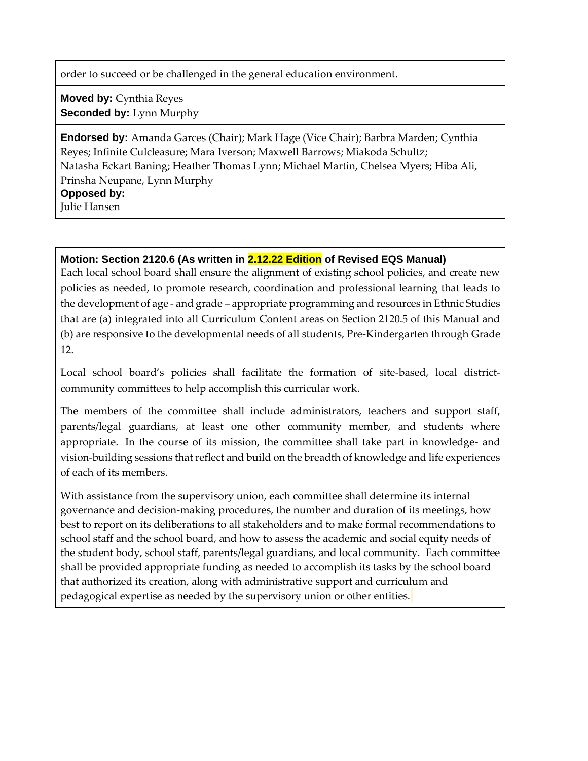order to succeed or be challenged in the general education environment.

**Moved by:** Cynthia Reyes **Seconded by: Lynn Murphy** 

**Endorsed by:** Amanda Garces (Chair); Mark Hage (Vice Chair); Barbra Marden; Cynthia Reyes; Infinite Culcleasure; Mara Iverson; Maxwell Barrows; Miakoda Schultz; Natasha Eckart Baning; Heather Thomas Lynn; Michael Martin, Chelsea Myers; Hiba Ali, Prinsha Neupane, Lynn Murphy **Opposed by:**

Julie Hansen

## **Motion: Section 2120.6 (As written in 2.12.22 Edition of Revised EQS Manual)**

Each local school board shall ensure the alignment of existing school policies, and create new policies as needed, to promote research, coordination and professional learning that leads to the development of age - and grade – appropriate programming and resources in Ethnic Studies that are (a) integrated into all Curriculum Content areas on Section 2120.5 of this Manual and (b) are responsive to the developmental needs of all students, Pre-Kindergarten through Grade 12.

Local school board's policies shall facilitate the formation of site-based, local districtcommunity committees to help accomplish this curricular work.

The members of the committee shall include administrators, teachers and support staff, parents/legal guardians, at least one other community member, and students where appropriate. In the course of its mission, the committee shall take part in knowledge- and vision-building sessions that reflect and build on the breadth of knowledge and life experiences of each of its members.

With assistance from the supervisory union, each committee shall determine its internal governance and decision-making procedures, the number and duration of its meetings, how best to report on its deliberations to all stakeholders and to make formal recommendations to school staff and the school board, and how to assess the academic and social equity needs of the student body, school staff, parents/legal guardians, and local community. Each committee shall be provided appropriate funding as needed to accomplish its tasks by the school board that authorized its creation, along with administrative support and curriculum and pedagogical expertise as needed by the supervisory union or other entities.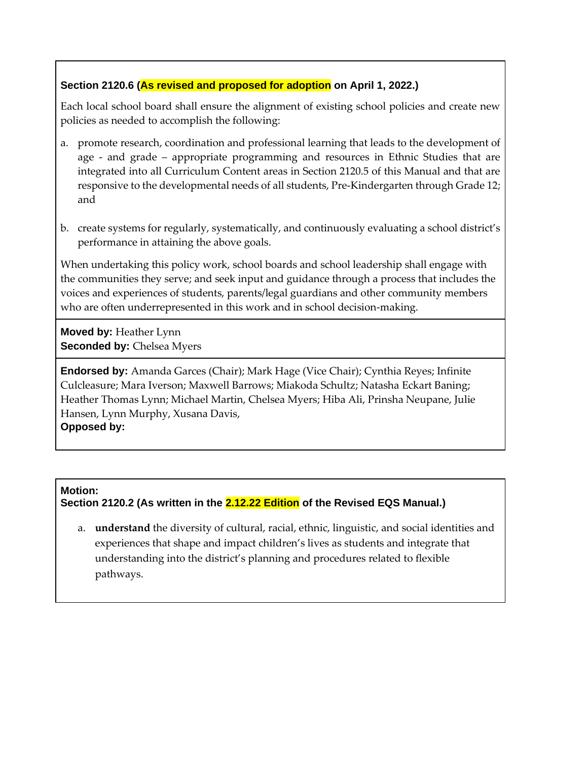## **Section 2120.6 (As revised and proposed for adoption on April 1, 2022.)**

Each local school board shall ensure the alignment of existing school policies and create new policies as needed to accomplish the following:

- a. promote research, coordination and professional learning that leads to the development of age - and grade – appropriate programming and resources in Ethnic Studies that are integrated into all Curriculum Content areas in Section 2120.5 of this Manual and that are responsive to the developmental needs of all students, Pre-Kindergarten through Grade 12; and
- b. create systems for regularly, systematically, and continuously evaluating a school district's performance in attaining the above goals.

When undertaking this policy work, school boards and school leadership shall engage with the communities they serve; and seek input and guidance through a process that includes the voices and experiences of students, parents/legal guardians and other community members who are often underrepresented in this work and in school decision-making.

**Moved by:** Heather Lynn **Seconded by: Chelsea Myers** 

**Endorsed by:** Amanda Garces (Chair); Mark Hage (Vice Chair); Cynthia Reyes; Infinite Culcleasure; Mara Iverson; Maxwell Barrows; Miakoda Schultz; Natasha Eckart Baning; Heather Thomas Lynn; Michael Martin, Chelsea Myers; Hiba Ali, Prinsha Neupane, Julie Hansen, Lynn Murphy, Xusana Davis, **Opposed by:**

### **Motion:**

**Section 2120.2 (As written in the 2.12.22 Edition of the Revised EQS Manual.)**

a. **understand** the diversity of cultural, racial, ethnic, linguistic, and social identities and experiences that shape and impact children's lives as students and integrate that understanding into the district's planning and procedures related to flexible pathways.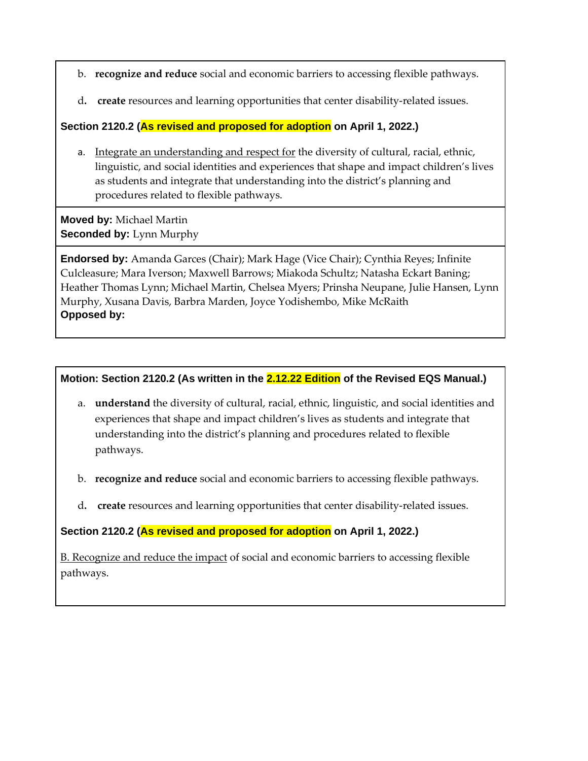b. **recognize and reduce** social and economic barriers to accessing flexible pathways.

d**. create** resources and learning opportunities that center disability-related issues.

**Section 2120.2 (As revised and proposed for adoption on April 1, 2022.)**

a. Integrate an understanding and respect for the diversity of cultural, racial, ethnic, linguistic, and social identities and experiences that shape and impact children's lives as students and integrate that understanding into the district's planning and procedures related to flexible pathways.

**Moved by:** Michael Martin **Seconded by:** Lynn Murphy

**Endorsed by:** Amanda Garces (Chair); Mark Hage (Vice Chair); Cynthia Reyes; Infinite Culcleasure; Mara Iverson; Maxwell Barrows; Miakoda Schultz; Natasha Eckart Baning; Heather Thomas Lynn; Michael Martin, Chelsea Myers; Prinsha Neupane, Julie Hansen, Lynn Murphy, Xusana Davis, Barbra Marden, Joyce Yodishembo, Mike McRaith **Opposed by:**

#### **Motion: Section 2120.2 (As written in the 2.12.22 Edition of the Revised EQS Manual.)**

- a. **understand** the diversity of cultural, racial, ethnic, linguistic, and social identities and experiences that shape and impact children's lives as students and integrate that understanding into the district's planning and procedures related to flexible pathways.
- b. **recognize and reduce** social and economic barriers to accessing flexible pathways.
- d**. create** resources and learning opportunities that center disability-related issues.

### **Section 2120.2 (As revised and proposed for adoption on April 1, 2022.)**

B. Recognize and reduce the impact of social and economic barriers to accessing flexible pathways.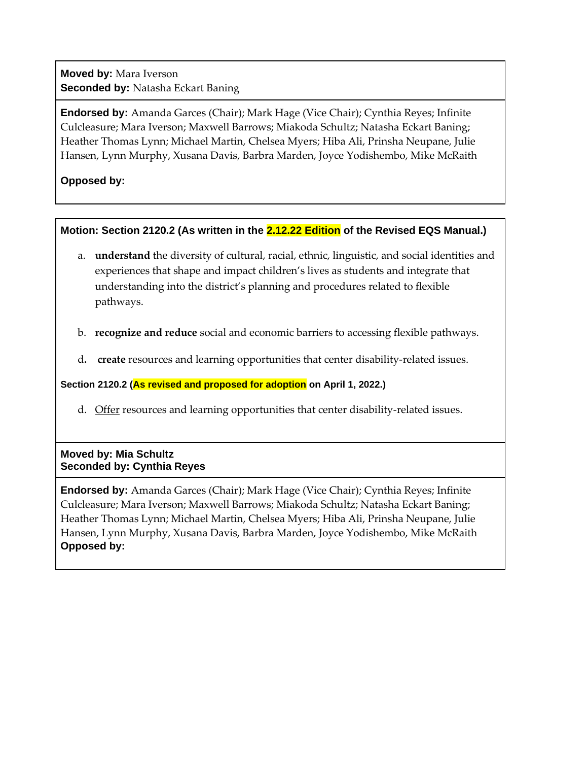**Moved by:** Mara Iverson **Seconded by:** Natasha Eckart Baning

**Endorsed by:** Amanda Garces (Chair); Mark Hage (Vice Chair); Cynthia Reyes; Infinite Culcleasure; Mara Iverson; Maxwell Barrows; Miakoda Schultz; Natasha Eckart Baning; Heather Thomas Lynn; Michael Martin, Chelsea Myers; Hiba Ali, Prinsha Neupane, Julie Hansen, Lynn Murphy, Xusana Davis, Barbra Marden, Joyce Yodishembo, Mike McRaith

# **Opposed by:**

### **Motion: Section 2120.2 (As written in the 2.12.22 Edition of the Revised EQS Manual.)**

- a. **understand** the diversity of cultural, racial, ethnic, linguistic, and social identities and experiences that shape and impact children's lives as students and integrate that understanding into the district's planning and procedures related to flexible pathways.
- b. **recognize and reduce** social and economic barriers to accessing flexible pathways.
- d**. create** resources and learning opportunities that center disability-related issues.

**Section 2120.2 (As revised and proposed for adoption on April 1, 2022.)**

d. Offer resources and learning opportunities that center disability-related issues.

### **Moved by: Mia Schultz Seconded by: Cynthia Reyes**

**Endorsed by:** Amanda Garces (Chair); Mark Hage (Vice Chair); Cynthia Reyes; Infinite Culcleasure; Mara Iverson; Maxwell Barrows; Miakoda Schultz; Natasha Eckart Baning; Heather Thomas Lynn; Michael Martin, Chelsea Myers; Hiba Ali, Prinsha Neupane, Julie Hansen, Lynn Murphy, Xusana Davis, Barbra Marden, Joyce Yodishembo, Mike McRaith **Opposed by:**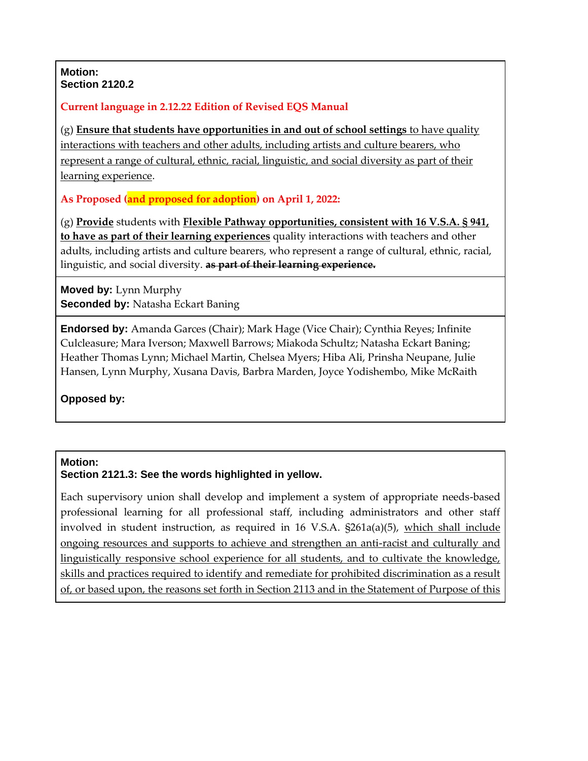#### **Motion: Section 2120.2**

# **Current language in 2.12.22 Edition of Revised EQS Manual**

(g) **Ensure that students have opportunities in and out of school settings** to have quality interactions with teachers and other adults, including artists and culture bearers, who represent a range of cultural, ethnic, racial, linguistic, and social diversity as part of their learning experience.

**As Proposed (and proposed for adoption) on April 1, 2022:**

(g) **Provide** students with **Flexible Pathway opportunities, consistent with 16 V.S.A. § 941, to have as part of their learning experiences** quality interactions with teachers and other adults, including artists and culture bearers, who represent a range of cultural, ethnic, racial, linguistic, and social diversity. **as part of their learning experience.**

**Moved by:** Lynn Murphy **Seconded by:** Natasha Eckart Baning

**Endorsed by:** Amanda Garces (Chair); Mark Hage (Vice Chair); Cynthia Reyes; Infinite Culcleasure; Mara Iverson; Maxwell Barrows; Miakoda Schultz; Natasha Eckart Baning; Heather Thomas Lynn; Michael Martin, Chelsea Myers; Hiba Ali, Prinsha Neupane, Julie Hansen, Lynn Murphy, Xusana Davis, Barbra Marden, Joyce Yodishembo, Mike McRaith

**Opposed by:**

### **Motion:**

**Section 2121.3: See the words highlighted in yellow.**

Each supervisory union shall develop and implement a system of appropriate needs-based professional learning for all professional staff, including administrators and other staff involved in student instruction, as required in 16 V.S.A. §261a(a)(5), which shall include ongoing resources and supports to achieve and strengthen an anti-racist and culturally and linguistically responsive school experience for all students, and to cultivate the knowledge, skills and practices required to identify and remediate for prohibited discrimination as a result of, or based upon, the reasons set forth in Section 2113 and in the Statement of Purpose of this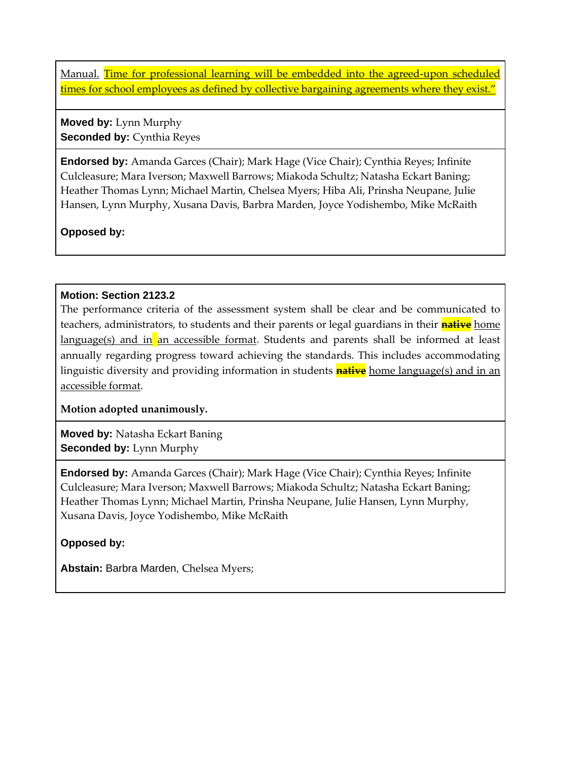Manual. Time for professional learning will be embedded into the agreed-upon scheduled times for school employees as defined by collective bargaining agreements where they exist."

**Moved by:** Lynn Murphy **Seconded by: Cynthia Reyes** 

**Endorsed by:** Amanda Garces (Chair); Mark Hage (Vice Chair); Cynthia Reyes; Infinite Culcleasure; Mara Iverson; Maxwell Barrows; Miakoda Schultz; Natasha Eckart Baning; Heather Thomas Lynn; Michael Martin, Chelsea Myers; Hiba Ali, Prinsha Neupane, Julie Hansen, Lynn Murphy, Xusana Davis, Barbra Marden, Joyce Yodishembo, Mike McRaith

**Opposed by:**

# **Motion: Section 2123.2**

The performance criteria of the assessment system shall be clear and be communicated to teachers, administrators, to students and their parents or legal guardians in their **native** home language(s) and in an accessible format**.** Students and parents shall be informed at least annually regarding progress toward achieving the standards. This includes accommodating linguistic diversity and providing information in students **native** home language(s) and in an accessible format.

**Motion adopted unanimously.**

**Moved by:** Natasha Eckart Baning **Seconded by:** Lynn Murphy

**Endorsed by:** Amanda Garces (Chair); Mark Hage (Vice Chair); Cynthia Reyes; Infinite Culcleasure; Mara Iverson; Maxwell Barrows; Miakoda Schultz; Natasha Eckart Baning; Heather Thomas Lynn; Michael Martin, Prinsha Neupane, Julie Hansen, Lynn Murphy, Xusana Davis, Joyce Yodishembo, Mike McRaith

**Opposed by:**

**Abstain:** Barbra Marden, Chelsea Myers;